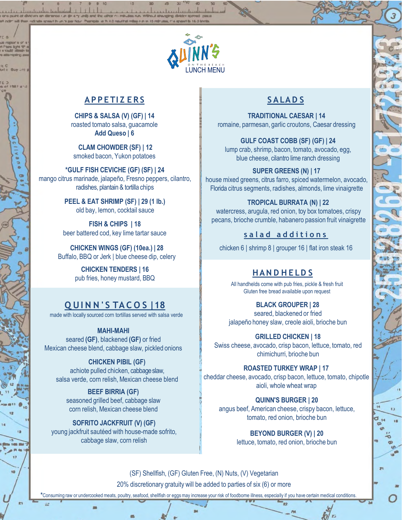

## **AP P E TI Z E R S**

**CHIPS & SALSA (V) (GF) | 14** roasted tomato salsa, guacamole **Add Queso | 6**

**CLAM CHOWDER (SF) | 12** smoked bacon, Yukon potatoes

**\*GULF FISH CEVICHE (GF) (SF) | 24** mango citrus marinade, jalapeño, Fresno peppers, cilantro, radishes, plantain & tortilla chips

> **PEEL & EAT SHRIMP (SF) | 29 (1 lb.)** old bay, lemon, cocktail sauce

**FISH & CHIPS | 18** beer battered cod, key lime tartar sauce

**CHICKEN WINGS (GF) (10ea.) | 28** Buffalo, BBQ or Jerk | blue cheese dip, celery

> **CHICKEN TENDERS | 16** pub fries, honey mustard, BBQ

# **Q UI N N ' S TA C O S |18**

made with locally sourced corn tortillas served with salsa verde

**MAHI-MAHI** seared **(GF)**, blackened **(GF)** or fried Mexican cheese blend, cabbage slaw, pickled onions

**CHICKEN PIBIL (GF)** achiote pulled chicken, cabbage slaw, salsa verde, corn relish, Mexican cheese blend

**BEEF BIRRIA (GF)** seasoned grilled beef, cabbage slaw corn relish, Mexican cheese blend

**SOFRITO JACKFRUIT (V) (GF)** young jackfruit sautéed with house-made sofrito, cabbage slaw, corn relish

# **S ALAD S**

**TRADITIONAL CAESAR | 14** romaine, parmesan, garlic croutons, Caesar dressing

**GULF COAST COBB (SF) (GF) | 24** lump crab, shrimp, bacon, tomato, avocado, egg, blue cheese, cilantro lime ranch dressing

**SUPER GREENS (N) | 17** house mixed greens, citrus farro, spiced watermelon, avocado, Florida citrus segments, radishes, almonds, lime vinaigrette

#### **TROPICAL BURRATA (N) | 22**

watercress, arugula, red onion, toy box tomatoes, crispy pecans, brioche crumble, habanero passion fruit vinaigrette

**s a l a d a d d i t i o n s**

chicken 6 | shrimp 8 | grouper 16 | flat iron steak 16

### **HAN D H E LD S**

All handhelds come with pub fries, pickle & fresh fruit Gluten free bread available upon request

> **BLACK GROUPER | 28** seared, blackened or fried

jalapeño honey slaw, creole aioli, brioche bun

**GRILLED CHICKEN | 18**

Swiss cheese, avocado, crisp bacon, lettuce, tomato, red chimichurri, brioche bun

**ROASTED TURKEY WRAP | 17** cheddar cheese, avocado, crisp bacon, lettuce, tomato, chipotle aioli, whole wheat wrap

**QUINN'S BURGER | 20** angus beef, American cheese, crispy bacon, lettuce, tomato, red onion, brioche bun

> **BEYOND BURGER (V) | 20** lettuce, tomato, red onion, brioche bun

(SF) Shellfish, (GF) Gluten Free, (N) Nuts, (V) Vegetarian 20% discretionary gratuity will be added to parties of six (6) or more

**\***Consuming raw or undercooked meats, poultry, seafood, shellfish or eggsmay increase your risk of foodborne illness, especially if you have certain medical conditions.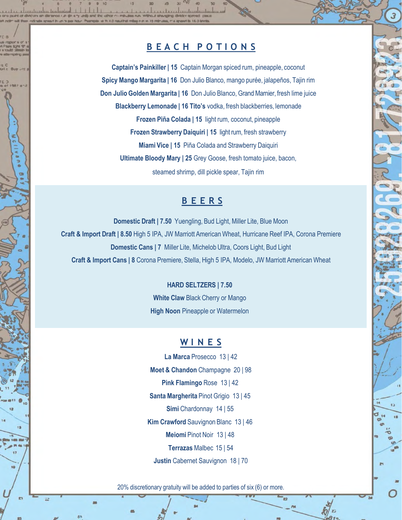# **B E A C H P O T I O N S**

**Captain's Painkiller | 15** Captain Morgan spiced rum, pineapple, coconut **Spicy Mango Margarita | 16** Don Julio Blanco, mango purée, jalapeños, Tajin rim **Don Julio Golden Margarita | 16** Don Julio Blanco, Grand Marnier, fresh lime juice **Blackberry Lemonade | 16 Tito's** vodka, fresh blackberries, lemonade **Frozen Piña Colada | 15** light rum, coconut, pineapple **Frozen Strawberry Daiquiri | 15** light rum, fresh strawberry **Miami Vice | 15** Piña Colada and Strawberry Daiquiri **Ultimate Bloody Mary | 25** Grey Goose, fresh tomato juice, bacon, steamed shrimp, dill pickle spear, Tajin rim

## **B E E R S**

**Domestic Draft | 7.50** Yuengling, Bud Light, Miller Lite, Blue Moon **Craft & Import Draft | 8.50** High 5 IPA, JW Marriott American Wheat, Hurricane Reef IPA, Corona Premiere **Domestic Cans | 7** Miller Lite, Michelob Ultra, Coors Light, Bud Light **Craft & Import Cans | 8** Corona Premiere, Stella, High 5 IPA, Modelo, JW Marriott American Wheat

#### **HARD SELTZERS | 7.50**

**White Claw** Black Cherry or Mango **High Noon Pineapple or Watermelon** 

#### **W I N E S**

**La Marca** Prosecco 13 | 42 **Moet & Chandon** Champagne 20 | 98 **Pink Flamingo** Rose 13 | 42 **Santa Margherita** Pinot Grigio 13 | 45 **Simi** Chardonnay 14 | 55 **Kim Crawford** Sauvignon Blanc 13 | 46 **Meiomi** Pinot Noir 13 | 48 **Terrazas** Malbec 15 | 54 **Justin** Cabernet Sauvignon 18 | 70

20% discretionary gratuity will be added to parties of six (6) or more.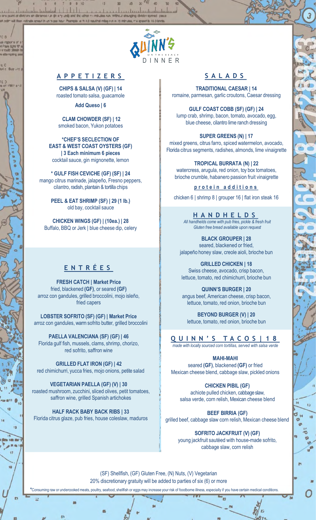

#### **A P P E T I Z E R S**

**CHIPS & SALSA (V) (GF) | 14** roasted tomato salsa, guacamole

**Add Queso | 6**

#### **CLAM CHOWDER (SF) | 12** smoked bacon, Yukon potatoes

**\*CHEF'S SECLECTION OF EAST & WEST COAST OYSTERS (GF) | 3 Each minimum 6 pieces** cocktail sauce, gin mignonette, lemon

**\* GULF FISH CEVICHE (GF) (SF) | 24** mango citrus marinade, jalapeño, Fresno peppers, cilantro, radish, plantain & tortilla chips

> **PEEL & EAT SHRIMP (SF) | 29 (1 lb.)** old bay, cocktail sauce

**CHICKEN WINGS (GF) | (10ea.) | 28** Buffalo, BBQ or Jerk | blue cheese dip, celery

# **E N T R É E S**

**FRESH CATCH | Market Price** fried, blackened **(GF)**, or seared **(GF)** arroz con gandules, grilled broccolini, mojo isleño, fried capers

**LOBSTER SOFRITO (SF) (GF) | Market Price** arroz con gandules, warm sofrito butter, grilled broccolini

**PAELLA VALENCIANA (SF) (GF) | 46** Florida gulf fish, mussels, clams, shrimp, chorizo, red sofrito, saffron wine

**GRILLED FLAT IRON (GF) | 42** red chimichurri, yucca fries, mojo onions, petite salad

**VEGETARIAN PAELLA (GF) (V) | 30** roasted mushroom, zucchini, sliced olives, petit tomatoes, saffron wine, grilled Spanish artichokes

**HALF RACK BABY BACK RIBS | 33** Florida citrus glaze, pub fries, house coleslaw, maduros

# **S A L A D S**

**TRADITIONAL CAESAR | 14** romaine, parmesan, garlic croutons, Caesar dressing

**GULF COAST COBB (SF) (GF) | 24** lump crab, shrimp, bacon, tomato, avocado, egg, blue cheese, cilantro lime ranch dressing

**SUPER GREENS (N) | 17** mixed greens, citrus farro, spiced watermelon, avocado, Florida citrus segments, radishes, almonds, lime vinaigrette

**TROPICAL BURRATA (N) | 22**

watercress, arugula, red onion, toy box tomatoes, brioche crumble, habanero passion fruit vinaigrette

**p r o t e i n a d d i t i o n s**

chicken 6 | shrimp 8 | grouper 16 | flat iron steak 16

**H A N D H E L D S** *All handhelds come with pub fries, pickle & fresh fruit Gluten free bread available upon request*

**BLACK GROUPER | 28** seared, blackened or fried, jalapeño honey slaw, creole aioli, brioche bun

**GRILLED CHICKEN | 18** Swiss cheese, avocado, crisp bacon, lettuce, tomato, red chimichurri, brioche bun

**QUINN'S BURGER | 20** angus beef, American cheese, crisp bacon, lettuce, tomato, red onion, brioche bun

**BEYOND BURGER (V) | 20** lettuce, tomato, red onion, brioche bun

### **Q U I N N ' S T A C O S | 1 8**

*made with locally sourced corn tortillas, served with salsa verde*

**MAHI-MAHI**

seared **(GF)**, blackened **(GF)** or fried Mexican cheese blend, cabbage slaw, pickled onions

**CHICKEN PIBIL (GF)** achiote pulled chicken, cabbage slaw, salsa verde, corn relish, Mexican cheese blend

**BEEF BIRRIA (GF)** grilled beef, cabbage slaw corn relish, Mexican cheese blend

**SOFRITO JACKFRUIT (V) (GF)** young jackfruit sautéed with house-made sofrito, cabbage slaw, corn relish

20% discretionary gratuity will be added to parties of six (6) or more (SF) Shellfish, (GF) Gluten Free, (N) Nuts, (V) Vegetarian

**\***Consuming raw or undercooked meats, poultry, seafood, shellfish or eggsmay increase your risk of foodborne illness, especially if you have certain medical conditions.